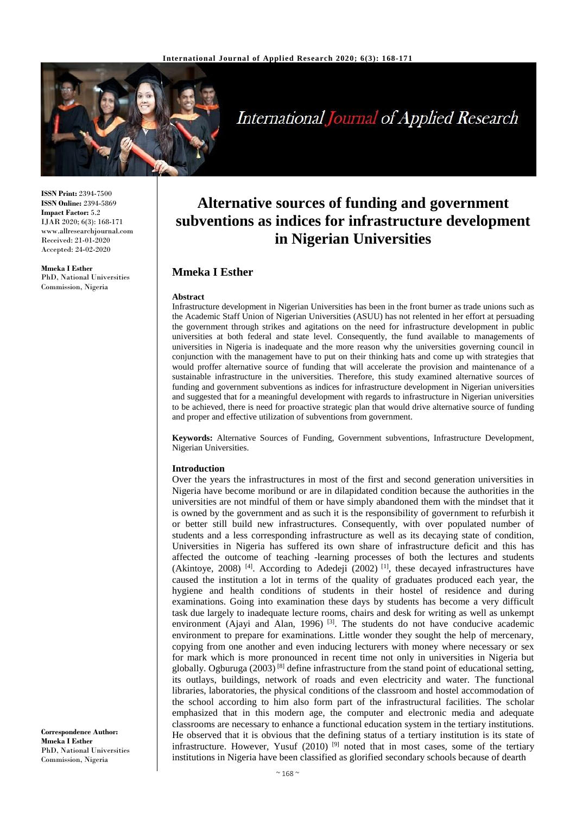

# **International Journal of Applied Research**

**ISSN Print:** 2394-7500 **ISSN Online:** 2394-5869 **Impact Factor:** 5.2 IJAR 2020; 6(3): 168-171 www.allresearchjournal.com Received: 21-01-2020 Accepted: 24-02-2020

**Mmeka I Esther** PhD, National Universities Commission, Nigeria

# **Alternative sources of funding and government subventions as indices for infrastructure development in Nigerian Universities**

## **Mmeka I Esther**

#### **Abstract**

Infrastructure development in Nigerian Universities has been in the front burner as trade unions such as the Academic Staff Union of Nigerian Universities (ASUU) has not relented in her effort at persuading the government through strikes and agitations on the need for infrastructure development in public universities at both federal and state level. Consequently, the fund available to managements of universities in Nigeria is inadequate and the more reason why the universities governing council in conjunction with the management have to put on their thinking hats and come up with strategies that would proffer alternative source of funding that will accelerate the provision and maintenance of a sustainable infrastructure in the universities. Therefore, this study examined alternative sources of funding and government subventions as indices for infrastructure development in Nigerian universities and suggested that for a meaningful development with regards to infrastructure in Nigerian universities to be achieved, there is need for proactive strategic plan that would drive alternative source of funding and proper and effective utilization of subventions from government.

**Keywords:** Alternative Sources of Funding, Government subventions, Infrastructure Development, Nigerian Universities.

#### **Introduction**

Over the years the infrastructures in most of the first and second generation universities in Nigeria have become moribund or are in dilapidated condition because the authorities in the universities are not mindful of them or have simply abandoned them with the mindset that it is owned by the government and as such it is the responsibility of government to refurbish it or better still build new infrastructures. Consequently, with over populated number of students and a less corresponding infrastructure as well as its decaying state of condition, Universities in Nigeria has suffered its own share of infrastructure deficit and this has affected the outcome of teaching -learning processes of both the lectures and students (Akintoye, 2008)<sup>[4]</sup>. According to Adedeji (2002)<sup>[1]</sup>, these decayed infrastructures have caused the institution a lot in terms of the quality of graduates produced each year, the hygiene and health conditions of students in their hostel of residence and during examinations. Going into examination these days by students has become a very difficult task due largely to inadequate lecture rooms, chairs and desk for writing as well as unkempt environment (Ajayi and Alan, 1996)<sup>[3]</sup>. The students do not have conducive academic environment to prepare for examinations. Little wonder they sought the help of mercenary, copying from one another and even inducing lecturers with money where necessary or sex for mark which is more pronounced in recent time not only in universities in Nigeria but globally. Ogburuga  $(2003)^{8}$  define infrastructure from the stand point of educational setting, its outlays, buildings, network of roads and even electricity and water. The functional libraries, laboratories, the physical conditions of the classroom and hostel accommodation of the school according to him also form part of the infrastructural facilities. The scholar emphasized that in this modern age, the computer and electronic media and adequate classrooms are necessary to enhance a functional education system in the tertiary institutions. He observed that it is obvious that the defining status of a tertiary institution is its state of infrastructure. However, Yusuf  $(2010)$ <sup>[9]</sup> noted that in most cases, some of the tertiary institutions in Nigeria have been classified as glorified secondary schools because of dearth

**Correspondence Author: Mmeka I Esther** PhD, National Universities Commission, Nigeria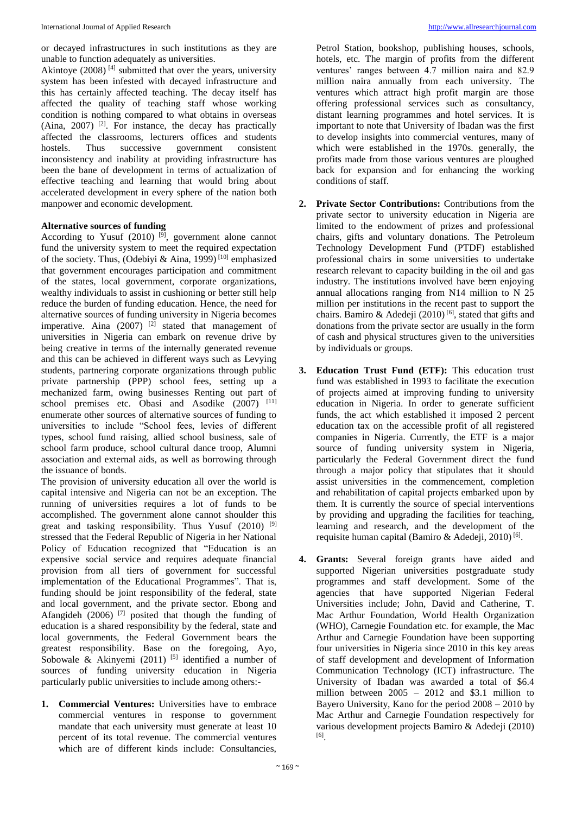or decayed infrastructures in such institutions as they are unable to function adequately as universities.

Akintoye (2008)<sup>[4]</sup> submitted that over the years, university system has been infested with decayed infrastructure and this has certainly affected teaching. The decay itself has affected the quality of teaching staff whose working condition is nothing compared to what obtains in overseas  $(Aina, 2007)$ <sup>[2]</sup>. For instance, the decay has practically affected the classrooms, lecturers offices and students hostels. Thus successive government consistent inconsistency and inability at providing infrastructure has been the bane of development in terms of actualization of effective teaching and learning that would bring about accelerated development in every sphere of the nation both manpower and economic development.

### **Alternative sources of funding**

According to Yusuf  $(2010)$  <sup>[9]</sup>, government alone cannot fund the university system to meet the required expectation of the society. Thus, (Odebiyi & Aina, 1999)<sup>[10]</sup> emphasized that government encourages participation and commitment of the states, local government, corporate organizations, wealthy individuals to assist in cushioning or better still help reduce the burden of funding education. Hence, the need for alternative sources of funding university in Nigeria becomes imperative. Aina  $(2007)$  <sup>[2]</sup> stated that management of universities in Nigeria can embark on revenue drive by being creative in terms of the internally generated revenue and this can be achieved in different ways such as Levying students, partnering corporate organizations through public private partnership (PPP) school fees, setting up a mechanized farm, owing businesses Renting out part of school premises etc. Obasi and Asodike (2007) [11] enumerate other sources of alternative sources of funding to universities to include "School fees, levies of different types, school fund raising, allied school business, sale of school farm produce, school cultural dance troop, Alumni association and external aids, as well as borrowing through the issuance of bonds.

The provision of university education all over the world is capital intensive and Nigeria can not be an exception. The running of universities requires a lot of funds to be accomplished. The government alone cannot shoulder this great and tasking responsibility. Thus Yusuf (2010) <sup>[9]</sup> stressed that the Federal Republic of Nigeria in her National Policy of Education recognized that "Education is an expensive social service and requires adequate financial provision from all tiers of government for successful implementation of the Educational Programmes". That is, funding should be joint responsibility of the federal, state and local government, and the private sector. Ebong and Afangideh  $(2006)$ <sup>[7]</sup> posited that though the funding of education is a shared responsibility by the federal, state and local governments, the Federal Government bears the greatest responsibility. Base on the foregoing, Ayo, Sobowale & Akinyemi (2011)<sup>[5]</sup> identified a number of sources of funding university education in Nigeria particularly public universities to include among others:-

**1. Commercial Ventures:** Universities have to embrace commercial ventures in response to government mandate that each university must generate at least 10 percent of its total revenue. The commercial ventures which are of different kinds include: Consultancies,

Petrol Station, bookshop, publishing houses, schools, hotels, etc. The margin of profits from the different ventures' ranges between 4.7 million naira and 82.9 million naira annually from each university. The ventures which attract high profit margin are those offering professional services such as consultancy, distant learning programmes and hotel services. It is important to note that University of Ibadan was the first to develop insights into commercial ventures, many of which were established in the 1970s. generally, the profits made from those various ventures are ploughed back for expansion and for enhancing the working conditions of staff.

- **2. Private Sector Contributions:** Contributions from the private sector to university education in Nigeria are limited to the endowment of prizes and professional chairs, gifts and voluntary donations. The Petroleum Technology Development Fund (PTDF) established professional chairs in some universities to undertake research relevant to capacity building in the oil and gas industry. The institutions involved have been enjoying annual allocations ranging from N14 million to N 25 million per institutions in the recent past to support the chairs. Bamiro & Adedeji (2010)<sup>[6]</sup>, stated that gifts and donations from the private sector are usually in the form of cash and physical structures given to the universities by individuals or groups.
- **3. Education Trust Fund (ETF):** This education trust fund was established in 1993 to facilitate the execution of projects aimed at improving funding to university education in Nigeria. In order to generate sufficient funds, the act which established it imposed 2 percent education tax on the accessible profit of all registered companies in Nigeria. Currently, the ETF is a major source of funding university system in Nigeria, particularly the Federal Government direct the fund through a major policy that stipulates that it should assist universities in the commencement, completion and rehabilitation of capital projects embarked upon by them. It is currently the source of special interventions by providing and upgrading the facilities for teaching, learning and research, and the development of the requisite human capital (Bamiro & Adedeji, 2010)<sup>[6]</sup>.
- **4. Grants:** Several foreign grants have aided and supported Nigerian universities postgraduate study programmes and staff development. Some of the agencies that have supported Nigerian Federal Universities include; John, David and Catherine, T. Mac Arthur Foundation, World Health Organization (WHO), Carnegie Foundation etc. for example, the Mac Arthur and Carnegie Foundation have been supporting four universities in Nigeria since 2010 in this key areas of staff development and development of Information Communication Technology (ICT) infrastructure. The University of Ibadan was awarded a total of \$6.4 million between 2005 – 2012 and \$3.1 million to Bayero University, Kano for the period 2008 – 2010 by Mac Arthur and Carnegie Foundation respectively for various development projects Bamiro & Adedeji (2010) [6] .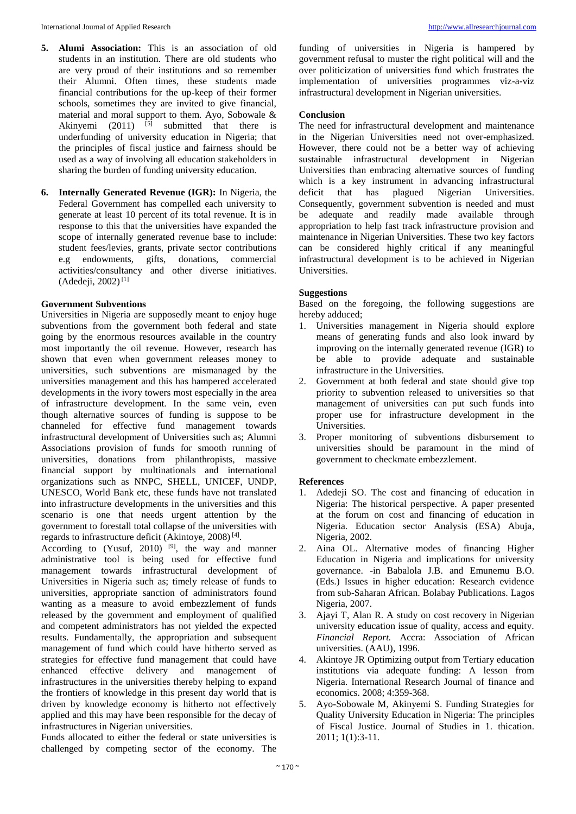- **5. Alumi Association:** This is an association of old students in an institution. There are old students who are very proud of their institutions and so remember their Alumni. Often times, these students made financial contributions for the up-keep of their former schools, sometimes they are invited to give financial, material and moral support to them. Ayo, Sobowale & Akinyemi  $(2011)$  <sup>[5]</sup> submitted that there is underfunding of university education in Nigeria; that the principles of fiscal justice and fairness should be used as a way of involving all education stakeholders in sharing the burden of funding university education.
- **6. Internally Generated Revenue (IGR):** In Nigeria, the Federal Government has compelled each university to generate at least 10 percent of its total revenue. It is in response to this that the universities have expanded the scope of internally generated revenue base to include: student fees/levies, grants, private sector contributions e.g endowments, gifts, donations, commercial activities/consultancy and other diverse initiatives.  $(Adedeji, 2002)^{[1]}$

#### **Government Subventions**

Universities in Nigeria are supposedly meant to enjoy huge subventions from the government both federal and state going by the enormous resources available in the country most importantly the oil revenue. However, research has shown that even when government releases money to universities, such subventions are mismanaged by the universities management and this has hampered accelerated developments in the ivory towers most especially in the area of infrastructure development. In the same vein, even though alternative sources of funding is suppose to be channeled for effective fund management towards infrastructural development of Universities such as; Alumni Associations provision of funds for smooth running of universities, donations from philanthropists, massive financial support by multinationals and international organizations such as NNPC, SHELL, UNICEF, UNDP, UNESCO, World Bank etc, these funds have not translated into infrastructure developments in the universities and this scenario is one that needs urgent attention by the government to forestall total collapse of the universities with regards to infrastructure deficit (Akintoye, 2008)<sup>[4]</sup>.

According to (Yusuf, 2010)<sup>[9]</sup>, the way and manner administrative tool is being used for effective fund management towards infrastructural development of Universities in Nigeria such as; timely release of funds to universities, appropriate sanction of administrators found wanting as a measure to avoid embezzlement of funds released by the government and employment of qualified and competent administrators has not yielded the expected results. Fundamentally, the appropriation and subsequent management of fund which could have hitherto served as strategies for effective fund management that could have enhanced effective delivery and management of infrastructures in the universities thereby helping to expand the frontiers of knowledge in this present day world that is driven by knowledge economy is hitherto not effectively applied and this may have been responsible for the decay of infrastructures in Nigerian universities.

Funds allocated to either the federal or state universities is challenged by competing sector of the economy. The

funding of universities in Nigeria is hampered by government refusal to muster the right political will and the over politicization of universities fund which frustrates the implementation of universities programmes viz-a-viz infrastructural development in Nigerian universities.

#### **Conclusion**

The need for infrastructural development and maintenance in the Nigerian Universities need not over-emphasized. However, there could not be a better way of achieving sustainable infrastructural development in Nigerian Universities than embracing alternative sources of funding which is a key instrument in advancing infrastructural deficit that has plagued Nigerian Universities. Consequently, government subvention is needed and must be adequate and readily made available through appropriation to help fast track infrastructure provision and maintenance in Nigerian Universities. These two key factors can be considered highly critical if any meaningful infrastructural development is to be achieved in Nigerian Universities.

#### **Suggestions**

Based on the foregoing, the following suggestions are hereby adduced;

- 1. Universities management in Nigeria should explore means of generating funds and also look inward by improving on the internally generated revenue (IGR) to be able to provide adequate and sustainable infrastructure in the Universities.
- 2. Government at both federal and state should give top priority to subvention released to universities so that management of universities can put such funds into proper use for infrastructure development in the Universities.
- 3. Proper monitoring of subventions disbursement to universities should be paramount in the mind of government to checkmate embezzlement.

### **References**

- 1. Adedeji SO. The cost and financing of education in Nigeria: The historical perspective. A paper presented at the forum on cost and financing of education in Nigeria. Education sector Analysis (ESA) Abuja, Nigeria, 2002.
- 2. Aina OL. Alternative modes of financing Higher Education in Nigeria and implications for university governance. -in Babalola J.B. and Emunemu B.O. (Eds.) Issues in higher education: Research evidence from sub-Saharan African. Bolabay Publications. Lagos Nigeria, 2007.
- 3. Ajayi T, Alan R. A study on cost recovery in Nigerian university education issue of quality, access and equity. *Financial Report.* Accra: Association of African universities. (AAU), 1996.
- 4. Akintoye JR Optimizing output from Tertiary education institutions via adequate funding: A lesson from Nigeria. International Research Journal of finance and economics. 2008; 4:359-368.
- 5. Ayo-Sobowale M, Akinyemi S. Funding Strategies for Quality University Education in Nigeria: The principles of Fiscal Justice. Journal of Studies in 1. thication. 2011; 1(1):3-11.